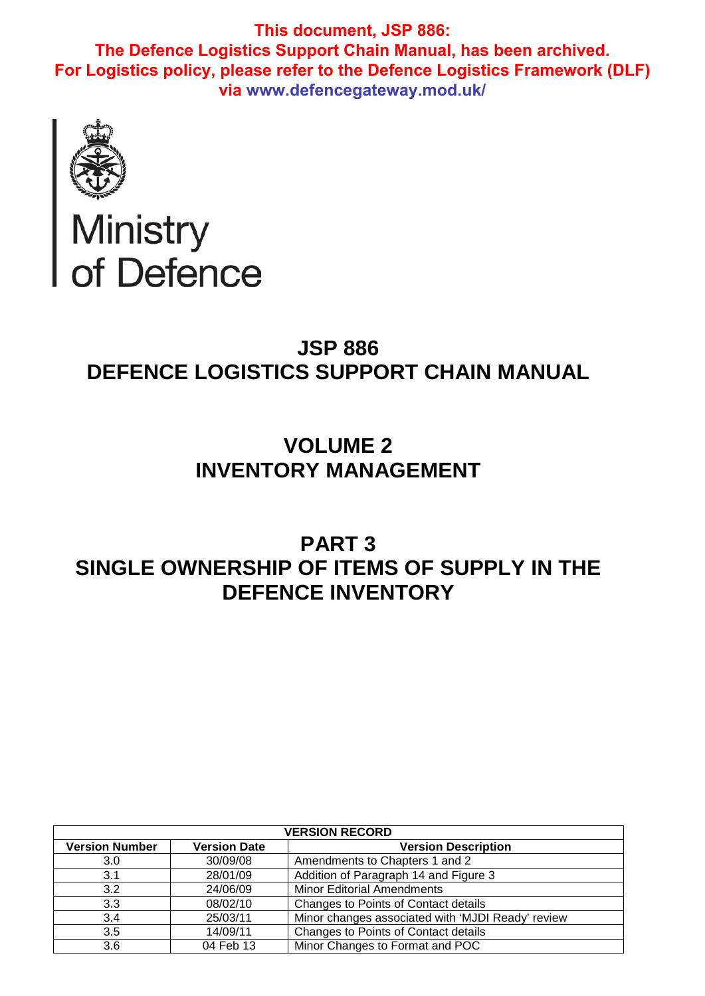

# Ministry<br>of Defence

# **JSP 886 DEFENCE LOGISTICS SUPPORT CHAIN MANUAL**

# **VOLUME 2 INVENTORY MANAGEMENT**

# **PART 3 SINGLE OWNERSHIP OF ITEMS OF SUPPLY IN THE DEFENCE INVENTORY**

| <b>VERSION RECORD</b> |                     |                                                   |  |  |
|-----------------------|---------------------|---------------------------------------------------|--|--|
| <b>Version Number</b> | <b>Version Date</b> | <b>Version Description</b>                        |  |  |
| 3.0                   | 30/09/08            | Amendments to Chapters 1 and 2                    |  |  |
| 3.1                   | 28/01/09            | Addition of Paragraph 14 and Figure 3             |  |  |
| 3.2                   | 24/06/09            | <b>Minor Editorial Amendments</b>                 |  |  |
| 3.3                   | 08/02/10            | Changes to Points of Contact details              |  |  |
| 3.4                   | 25/03/11            | Minor changes associated with 'MJDI Ready' review |  |  |
| 3.5                   | 14/09/11            | Changes to Points of Contact details              |  |  |
| 3.6                   | 04 Feb 13           | Minor Changes to Format and POC                   |  |  |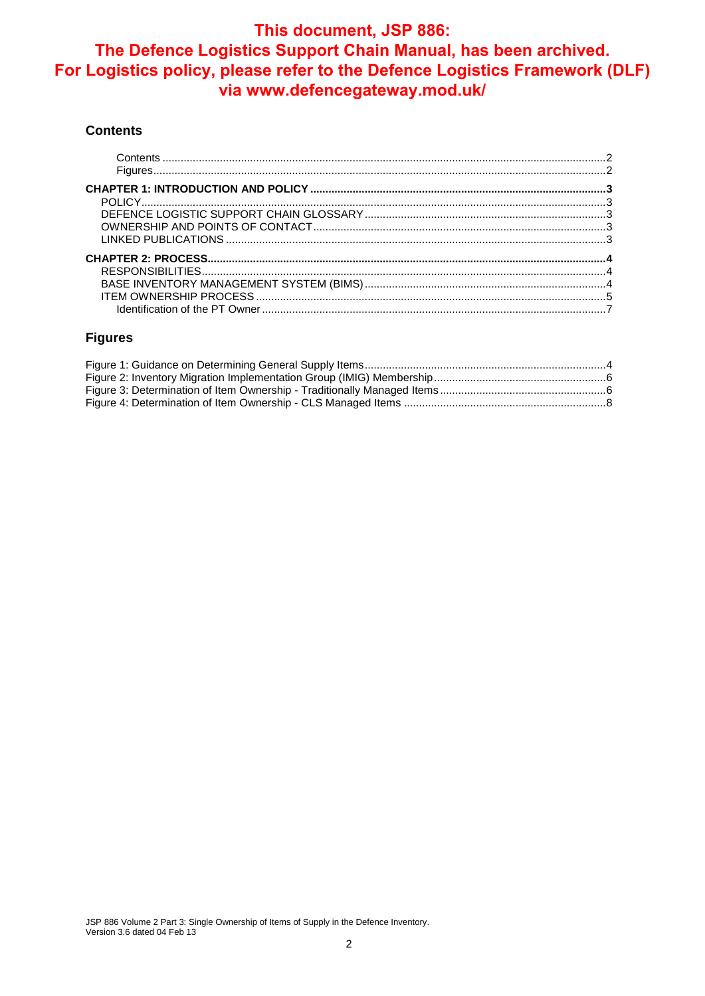#### **Contents**

#### **Figures**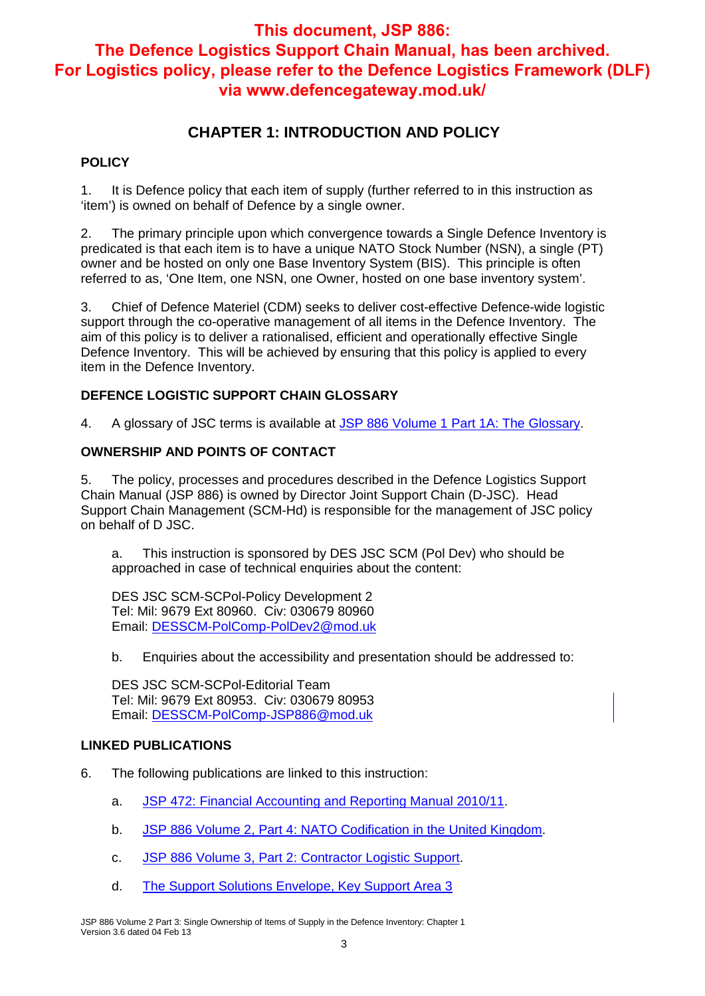## **CHAPTER 1: INTRODUCTION AND POLICY**

#### **POLICY**

1. It is Defence policy that each item of supply (further referred to in this instruction as 'item') is owned on behalf of Defence by a single owner.

2. The primary principle upon which convergence towards a Single Defence Inventory is predicated is that each item is to have a unique NATO Stock Number (NSN), a single (PT) owner and be hosted on only one Base Inventory System (BIS). This principle is often referred to as, 'One Item, one NSN, one Owner, hosted on one base inventory system'.

3. Chief of Defence Materiel (CDM) seeks to deliver cost-effective Defence-wide logistic support through the co-operative management of all items in the Defence Inventory. The aim of this policy is to deliver a rationalised, efficient and operationally effective Single Defence Inventory. This will be achieved by ensuring that this policy is applied to every item in the Defence Inventory.

#### **DEFENCE LOGISTIC SUPPORT CHAIN GLOSSARY**

4. A glossary of JSC terms is available at JSP 886 Volume 1 Part 1A: The Glossary.

#### **OWNERSHIP AND POINTS OF CONTACT**

5. The policy, processes and procedures described in the Defence Logistics Support Chain Manual (JSP 886) is owned by Director Joint Support Chain (D-JSC). Head Support Chain Management (SCM-Hd) is responsible for the management of JSC policy on behalf of D JSC.

a. This instruction is sponsored by DES JSC SCM (Pol Dev) who should be approached in case of technical enquiries about the content:

DES JSC SCM-SCPol-Policy Development 2 Tel: Mil: 9679 Ext 80960. Civ: 030679 80960 Email: DESSCM-PolComp-PolDev2@mod.uk

b. Enquiries about the accessibility and presentation should be addressed to:

DES JSC SCM-SCPol-Editorial Team Tel: Mil: 9679 Ext 80953. Civ: 030679 80953 Email: DESSCM-PolComp-JSP886@mod.uk

#### **LINKED PUBLICATIONS**

- 6. The following publications are linked to this instruction:
	- a. JSP 472: Financial Accounting and Reporting Manual 2010/11.
	- b. JSP 886 Volume 2, Part 4: NATO Codification in the United Kingdom.
	- c. JSP 886 Volume 3, Part 2: Contractor Logistic Support.
	- d. The Support Solutions Envelope, Key Support Area 3

JSP 886 Volume 2 Part 3: Single Ownership of Items of Supply in the Defence Inventory: Chapter 1 Version 3.6 dated 04 Feb 13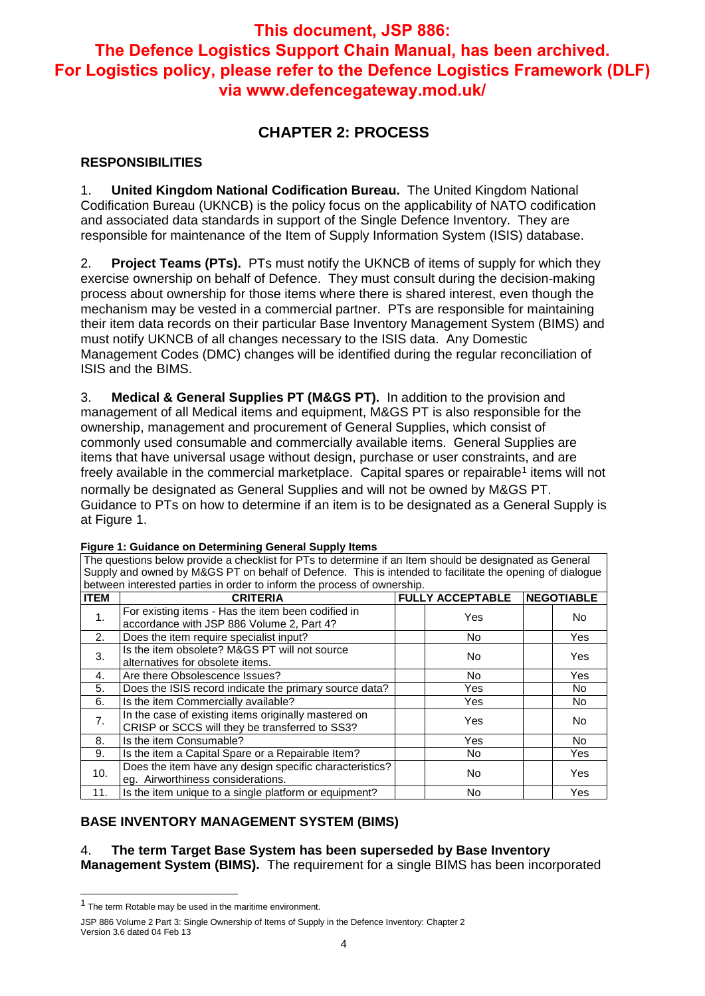# **CHAPTER 2: PROCESS**

#### **RESPONSIBILITIES**

1. **United Kingdom National Codification Bureau.** The United Kingdom National Codification Bureau (UKNCB) is the policy focus on the applicability of NATO codification and associated data standards in support of the Single Defence Inventory. They are responsible for maintenance of the Item of Supply Information System (ISIS) database.

2. **Project Teams (PTs).** PTs must notify the UKNCB of items of supply for which they exercise ownership on behalf of Defence. They must consult during the decision-making process about ownership for those items where there is shared interest, even though the mechanism may be vested in a commercial partner. PTs are responsible for maintaining their item data records on their particular Base Inventory Management System (BIMS) and must notify UKNCB of all changes necessary to the ISIS data. Any Domestic Management Codes (DMC) changes will be identified during the regular reconciliation of ISIS and the BIMS.

3. **Medical & General Supplies PT (M&GS PT).** In addition to the provision and management of all Medical items and equipment, M&GS PT is also responsible for the ownership, management and procurement of General Supplies, which consist of commonly used consumable and commercially available items. General Supplies are items that have universal usage without design, purchase or user constraints, and are freely available in the commercial marketplace. Capital spares or repairable<sup>1</sup> items will not normally be designated as General Supplies and will not be owned by M&GS PT. Guidance to PTs on how to determine if an item is to be designated as a General Supply is at Figure 1.

The questions below provide a checklist for PTs to determine if an Item should be designated as General

| Supply and owned by M&GS PT on behalf of Defence. This is intended to facilitate the opening of dialogue |                                                                                                        |  |                         |  |                   |  |
|----------------------------------------------------------------------------------------------------------|--------------------------------------------------------------------------------------------------------|--|-------------------------|--|-------------------|--|
| between interested parties in order to inform the process of ownership.                                  |                                                                                                        |  |                         |  |                   |  |
| <b>ITEM</b>                                                                                              | <b>CRITERIA</b>                                                                                        |  | <b>FULLY ACCEPTABLE</b> |  | <b>NEGOTIABLE</b> |  |
| 1.                                                                                                       | For existing items - Has the item been codified in<br>accordance with JSP 886 Volume 2, Part 4?        |  | Yes                     |  | No.               |  |
| 2.                                                                                                       | Does the item require specialist input?                                                                |  | No.                     |  | Yes.              |  |
| 3.                                                                                                       | Is the item obsolete? M&GS PT will not source<br>alternatives for obsolete items.                      |  | No.                     |  | Yes               |  |
| 4.                                                                                                       | Are there Obsolescence Issues?                                                                         |  | No.                     |  | <b>Yes</b>        |  |
| 5.                                                                                                       | Does the ISIS record indicate the primary source data?                                                 |  | Yes                     |  | No.               |  |
| 6.                                                                                                       | Is the item Commercially available?                                                                    |  | Yes                     |  | No.               |  |
| 7.                                                                                                       | In the case of existing items originally mastered on<br>CRISP or SCCS will they be transferred to SS3? |  | Yes                     |  | No.               |  |
| 8.                                                                                                       | Is the item Consumable?                                                                                |  | Yes                     |  | No.               |  |
| 9.                                                                                                       | Is the item a Capital Spare or a Repairable Item?                                                      |  | No.                     |  | Yes               |  |
| 10.                                                                                                      | Does the item have any design specific characteristics?<br>eg. Airworthiness considerations.           |  | No.                     |  | Yes               |  |
| 11.                                                                                                      | Is the item unique to a single platform or equipment?                                                  |  | No                      |  | Yes               |  |

#### **Figure 1: Guidance on Determining General Supply Items**

**BASE INVENTORY MANAGEMENT SYSTEM (BIMS)**

4. **The term Target Base System has been superseded by Base Inventory Management System (BIMS).** The requirement for a single BIMS has been incorporated

-

<sup>1</sup> The term Rotable may be used in the maritime environment.

JSP 886 Volume 2 Part 3: Single Ownership of Items of Supply in the Defence Inventory: Chapter 2 Version 3.6 dated 04 Feb 13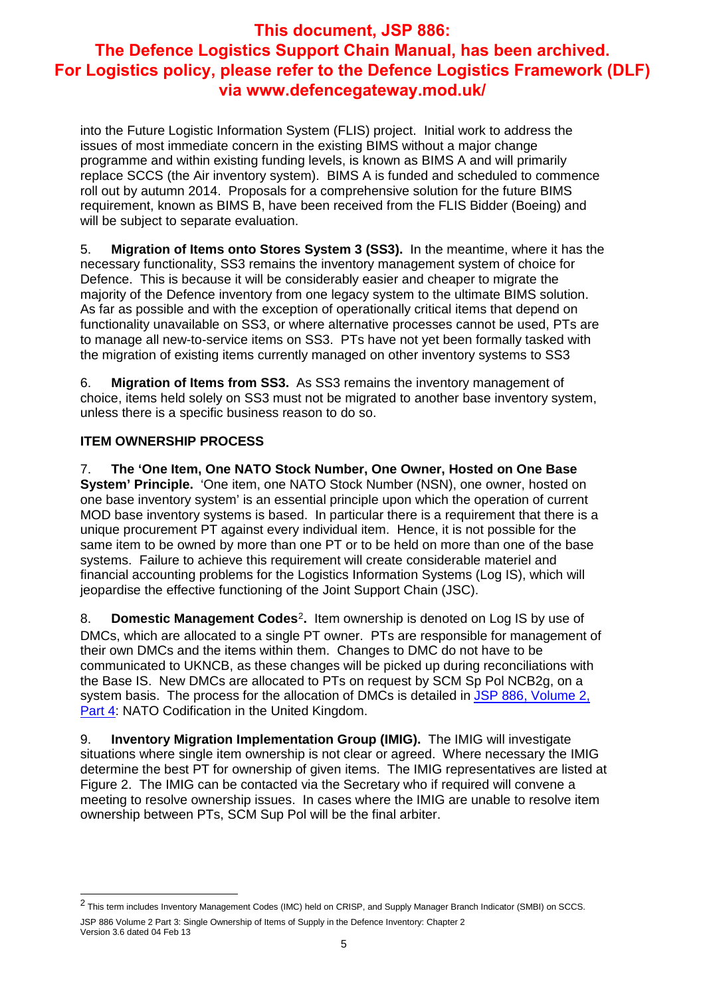into the Future Logistic Information System (FLIS) project. Initial work to address the issues of most immediate concern in the existing BIMS without a major change programme and within existing funding levels, is known as BIMS A and will primarily replace SCCS (the Air inventory system). BIMS A is funded and scheduled to commence roll out by autumn 2014. Proposals for a comprehensive solution for the future BIMS requirement, known as BIMS B, have been received from the FLIS Bidder (Boeing) and will be subject to separate evaluation.

5. **Migration of Items onto Stores System 3 (SS3).** In the meantime, where it has the necessary functionality, SS3 remains the inventory management system of choice for Defence. This is because it will be considerably easier and cheaper to migrate the majority of the Defence inventory from one legacy system to the ultimate BIMS solution. As far as possible and with the exception of operationally critical items that depend on functionality unavailable on SS3, or where alternative processes cannot be used, PTs are to manage all new-to-service items on SS3. PTs have not yet been formally tasked with the migration of existing items currently managed on other inventory systems to SS3

6. **Migration of Items from SS3.** As SS3 remains the inventory management of choice, items held solely on SS3 must not be migrated to another base inventory system, unless there is a specific business reason to do so.

## **ITEM OWNERSHIP PROCESS**

7. **The 'One Item, One NATO Stock Number, One Owner, Hosted on One Base System' Principle.** 'One item, one NATO Stock Number (NSN), one owner, hosted on one base inventory system' is an essential principle upon which the operation of current MOD base inventory systems is based. In particular there is a requirement that there is a unique procurement PT against every individual item. Hence, it is not possible for the same item to be owned by more than one PT or to be held on more than one of the base systems. Failure to achieve this requirement will create considerable materiel and financial accounting problems for the Logistics Information Systems (Log IS), which will jeopardise the effective functioning of the Joint Support Chain (JSC).

8. **Domestic Management Codes**<sup>2</sup>**.** Item ownership is denoted on Log IS by use of DMCs, which are allocated to a single PT owner. PTs are responsible for management of their own DMCs and the items within them. Changes to DMC do not have to be communicated to UKNCB, as these changes will be picked up during reconciliations with the Base IS. New DMCs are allocated to PTs on request by SCM Sp Pol NCB2g, on a system basis. The process for the allocation of DMCs is detailed in JSP 886, Volume 2, Part 4: NATO Codification in the United Kingdom.

9. **Inventory Migration Implementation Group (IMIG).** The IMIG will investigate situations where single item ownership is not clear or agreed. Where necessary the IMIG determine the best PT for ownership of given items. The IMIG representatives are listed at Figure 2. The IMIG can be contacted via the Secretary who if required will convene a meeting to resolve ownership issues. In cases where the IMIG are unable to resolve item ownership between PTs, SCM Sup Pol will be the final arbiter.

JSP 886 Volume 2 Part 3: Single Ownership of Items of Supply in the Defence Inventory: Chapter 2 Version 3.6 dated 04 Feb 13 -<sup>2</sup> This term includes Inventory Management Codes (IMC) held on CRISP, and Supply Manager Branch Indicator (SMBI) on SCCS.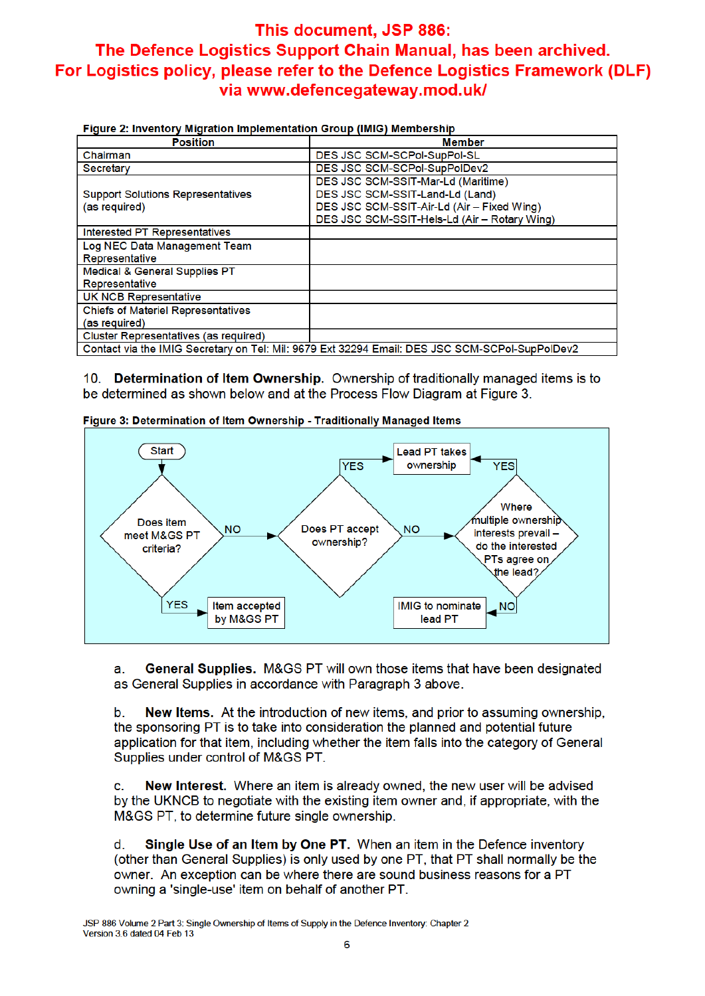#### Figure 2: Inventory Migration Implementation Group (IMIG) Membership

| <b>1 igure 21 intentery imgration imprementation wroup (imiw) inclined only</b>                |                                              |  |  |  |
|------------------------------------------------------------------------------------------------|----------------------------------------------|--|--|--|
| <b>Position</b>                                                                                | <b>Member</b>                                |  |  |  |
| Chairman                                                                                       | DES JSC SCM-SCPol-SupPol-SL                  |  |  |  |
| Secretary                                                                                      | DES JSC SCM-SCPol-SupPolDev2                 |  |  |  |
|                                                                                                | DES JSC SCM-SSIT-Mar-Ld (Maritime)           |  |  |  |
| <b>Support Solutions Representatives</b>                                                       | DES JSC SCM-SSIT-Land-Ld (Land)              |  |  |  |
| (as required)                                                                                  | DES JSC SCM-SSIT-Air-Ld (Air - Fixed Wing)   |  |  |  |
|                                                                                                | DES JSC SCM-SSIT-Hels-Ld (Air - Rotary Wing) |  |  |  |
| Interested PT Representatives                                                                  |                                              |  |  |  |
| Log NEC Data Management Team                                                                   |                                              |  |  |  |
| Representative                                                                                 |                                              |  |  |  |
| Medical & General Supplies PT                                                                  |                                              |  |  |  |
| Representative                                                                                 |                                              |  |  |  |
| <b>UK NCB Representative</b>                                                                   |                                              |  |  |  |
| <b>Chiefs of Materiel Representatives</b>                                                      |                                              |  |  |  |
| (as required)                                                                                  |                                              |  |  |  |
| Cluster Representatives (as required)                                                          |                                              |  |  |  |
| Contact via the IMIG Secretary on Tel: Mil: 9679 Ext 32294 Email: DES JSC SCM-SCPol-SupPolDev2 |                                              |  |  |  |

10. Determination of Item Ownership. Ownership of traditionally managed items is to be determined as shown below and at the Process Flow Diagram at Figure 3.





General Supplies. M&GS PT will own those items that have been designated a as General Supplies in accordance with Paragraph 3 above.

New Items. At the introduction of new items, and prior to assuming ownership,  $\mathbf{b}$ . the sponsoring PT is to take into consideration the planned and potential future application for that item, including whether the item falls into the category of General Supplies under control of M&GS PT.

New Interest. Where an item is already owned, the new user will be advised c. by the UKNCB to negotiate with the existing item owner and, if appropriate, with the M&GS PT, to determine future single ownership.

Single Use of an Item by One PT. When an item in the Defence inventory d. (other than General Supplies) is only used by one PT, that PT shall normally be the owner. An exception can be where there are sound business reasons for a PT owning a 'single-use' item on behalf of another PT.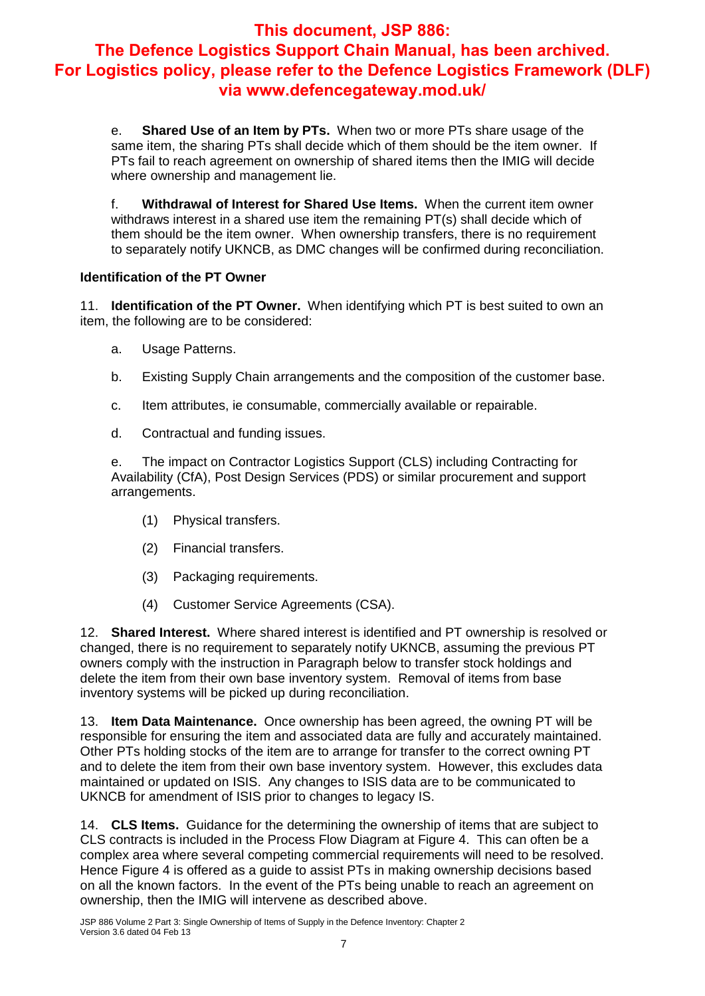e. **Shared Use of an Item by PTs.** When two or more PTs share usage of the same item, the sharing PTs shall decide which of them should be the item owner. If PTs fail to reach agreement on ownership of shared items then the IMIG will decide where ownership and management lie.

f. **Withdrawal of Interest for Shared Use Items.** When the current item owner withdraws interest in a shared use item the remaining PT(s) shall decide which of them should be the item owner. When ownership transfers, there is no requirement to separately notify UKNCB, as DMC changes will be confirmed during reconciliation.

## **Identification of the PT Owner**

11. **Identification of the PT Owner.** When identifying which PT is best suited to own an item, the following are to be considered:

- a. Usage Patterns.
- b. Existing Supply Chain arrangements and the composition of the customer base.
- c. Item attributes, ie consumable, commercially available or repairable.
- d. Contractual and funding issues.

e. The impact on Contractor Logistics Support (CLS) including Contracting for Availability (CfA), Post Design Services (PDS) or similar procurement and support arrangements.

- (1) Physical transfers.
- (2) Financial transfers.
- (3) Packaging requirements.
- (4) Customer Service Agreements (CSA).

12. **Shared Interest.** Where shared interest is identified and PT ownership is resolved or changed, there is no requirement to separately notify UKNCB, assuming the previous PT owners comply with the instruction in Paragraph below to transfer stock holdings and delete the item from their own base inventory system. Removal of items from base inventory systems will be picked up during reconciliation.

13. **Item Data Maintenance.** Once ownership has been agreed, the owning PT will be responsible for ensuring the item and associated data are fully and accurately maintained. Other PTs holding stocks of the item are to arrange for transfer to the correct owning PT and to delete the item from their own base inventory system. However, this excludes data maintained or updated on ISIS. Any changes to ISIS data are to be communicated to UKNCB for amendment of ISIS prior to changes to legacy IS.

14. **CLS Items.** Guidance for the determining the ownership of items that are subject to CLS contracts is included in the Process Flow Diagram at Figure 4. This can often be a complex area where several competing commercial requirements will need to be resolved. Hence Figure 4 is offered as a guide to assist PTs in making ownership decisions based on all the known factors. In the event of the PTs being unable to reach an agreement on ownership, then the IMIG will intervene as described above.